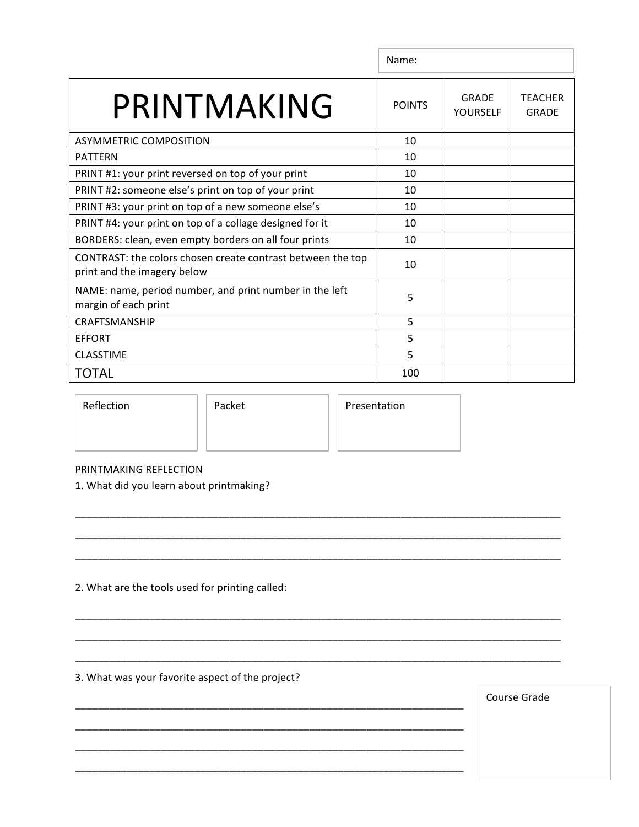|                                                                                            | Name:         |                          |                                |
|--------------------------------------------------------------------------------------------|---------------|--------------------------|--------------------------------|
| PRINTMAKING                                                                                | <b>POINTS</b> | <b>GRADE</b><br>YOURSELF | <b>TEACHER</b><br><b>GRADE</b> |
| <b>ASYMMETRIC COMPOSITION</b>                                                              | 10            |                          |                                |
| <b>PATTERN</b>                                                                             | 10            |                          |                                |
| PRINT #1: your print reversed on top of your print                                         | 10            |                          |                                |
| PRINT #2: someone else's print on top of your print                                        | 10            |                          |                                |
| PRINT #3: your print on top of a new someone else's                                        | 10            |                          |                                |
| PRINT #4: your print on top of a collage designed for it                                   | 10            |                          |                                |
| BORDERS: clean, even empty borders on all four prints                                      | 10            |                          |                                |
| CONTRAST: the colors chosen create contrast between the top<br>print and the imagery below | 10            |                          |                                |
| NAME: name, period number, and print number in the left<br>margin of each print            | 5             |                          |                                |
| <b>CRAFTSMANSHIP</b>                                                                       | 5             |                          |                                |
| EFFORT                                                                                     | 5             |                          |                                |
| <b>CLASSTIME</b>                                                                           | 5             |                          |                                |
| TOTAL                                                                                      | 100           |                          |                                |

\_\_\_\_\_\_\_\_\_\_\_\_\_\_\_\_\_\_\_\_\_\_\_\_\_\_\_\_\_\_\_\_\_\_\_\_\_\_\_\_\_\_\_\_\_\_\_\_\_\_\_\_\_\_\_\_\_\_\_\_\_\_\_\_\_\_\_\_\_\_\_\_\_\_\_\_\_\_\_\_\_\_\_\_\_

\_\_\_\_\_\_\_\_\_\_\_\_\_\_\_\_\_\_\_\_\_\_\_\_\_\_\_\_\_\_\_\_\_\_\_\_\_\_\_\_\_\_\_\_\_\_\_\_\_\_\_\_\_\_\_\_\_\_\_\_\_\_\_\_\_\_\_\_\_\_\_\_\_\_\_\_\_\_\_\_\_\_\_\_\_

\_\_\_\_\_\_\_\_\_\_\_\_\_\_\_\_\_\_\_\_\_\_\_\_\_\_\_\_\_\_\_\_\_\_\_\_\_\_\_\_\_\_\_\_\_\_\_\_\_\_\_\_\_\_\_\_\_\_\_\_\_\_\_\_\_\_\_\_\_\_\_\_\_\_\_\_\_\_\_\_\_\_\_\_\_

\_\_\_\_\_\_\_\_\_\_\_\_\_\_\_\_\_\_\_\_\_\_\_\_\_\_\_\_\_\_\_\_\_\_\_\_\_\_\_\_\_\_\_\_\_\_\_\_\_\_\_\_\_\_\_\_\_\_\_\_\_\_\_\_\_\_\_\_\_\_\_\_\_\_\_\_\_\_\_\_\_\_\_\_\_

\_\_\_\_\_\_\_\_\_\_\_\_\_\_\_\_\_\_\_\_\_\_\_\_\_\_\_\_\_\_\_\_\_\_\_\_\_\_\_\_\_\_\_\_\_\_\_\_\_\_\_\_\_\_\_\_\_\_\_\_\_\_\_\_\_\_\_\_\_\_\_\_\_\_\_\_\_\_\_\_\_\_\_\_\_

\_\_\_\_\_\_\_\_\_\_\_\_\_\_\_\_\_\_\_\_\_\_\_\_\_\_\_\_\_\_\_\_\_\_\_\_\_\_\_\_\_\_\_\_\_\_\_\_\_\_\_\_\_\_\_\_\_\_\_\_\_\_\_\_\_\_\_\_\_\_\_\_\_\_\_\_\_\_\_\_\_\_\_\_\_

\_\_\_\_\_\_\_\_\_\_\_\_\_\_\_\_\_\_\_\_\_\_\_\_\_\_\_\_\_\_\_\_\_\_\_\_\_\_\_\_\_\_\_\_\_\_\_\_\_\_\_\_\_\_\_\_\_\_\_\_\_\_\_\_\_\_\_\_

\_\_\_\_\_\_\_\_\_\_\_\_\_\_\_\_\_\_\_\_\_\_\_\_\_\_\_\_\_\_\_\_\_\_\_\_\_\_\_\_\_\_\_\_\_\_\_\_\_\_\_\_\_\_\_\_\_\_\_\_\_\_\_\_\_\_\_\_

\_\_\_\_\_\_\_\_\_\_\_\_\_\_\_\_\_\_\_\_\_\_\_\_\_\_\_\_\_\_\_\_\_\_\_\_\_\_\_\_\_\_\_\_\_\_\_\_\_\_\_\_\_\_\_\_\_\_\_\_\_\_\_\_\_\_\_\_

\_\_\_\_\_\_\_\_\_\_\_\_\_\_\_\_\_\_\_\_\_\_\_\_\_\_\_\_\_\_\_\_\_\_\_\_\_\_\_\_\_\_\_\_\_\_\_\_\_\_\_\_\_\_\_\_\_\_\_\_\_\_\_\_\_\_\_\_

Reflection | Packet | Presentation

## PRINTMAKING REFLECTION

1. What did you learn about printmaking?

2. What are the tools used for printing called:

3. What was your favorite aspect of the project?

Course Grade